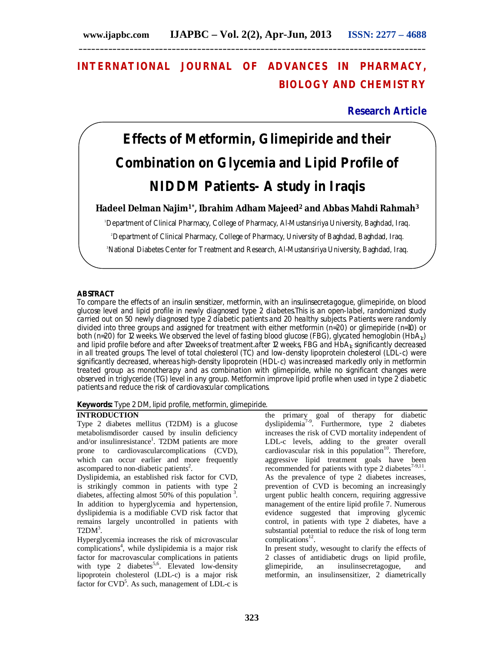## **INTERNATIONAL JOURNAL OF ADVANCES IN PHARMACY, BIOLOGY AND CHEMISTRY**

## **Research Article**

# **Effects of Metformin, Glimepiride and their Combination on Glycemia and Lipid Profile of NIDDM Patients- A study in Iraqis**

**Hadeel Delman Najim1\*, Ibrahim Adham Majeed<sup>2</sup> and Abbas Mahdi Rahmah<sup>3</sup>**

<sup>1</sup>Department of Clinical Pharmacy, College of Pharmacy, Al-Mustansiriya University, Baghdad, Iraq.

<sup>2</sup>Department of Clinical Pharmacy, College of Pharmacy, University of Baghdad, Baghdad, Iraq.

<sup>3</sup>National Diabetes Center for Treatment and Research, Al-Mustansiriya University, Baghdad, Irag.

## **ABSTRACT**

To compare the effects of an insulin sensitizer, metformin, with an insulinsecretagogue, glimepiride, on blood glucose level and lipid profile in newly diagnosed type 2 diabetes.This is an open-label, randomized study carried out on 50 newly diagnosed type 2 diabetic patients and 20 healthy subjects. Patients were randomly divided into three groups and assigned for treatment with either metformin (n=20) or glimepiride (n=10) or both (n=20) for 12 weeks. We observed the level of fasting blood glucose (FBG), glycated hemoglobin (HbA<sub>1c</sub>) and lipid profile before and after 12weeks of treatment.after 12 weeks, FBG and  $HDA_1c$  significantly decreased in all treated groups. The level of total cholesterol (TC) and low-density lipoprotein cholesterol (LDL-c) were significantly decreased, whereas high-density lipoprotein (HDL-c) was increased markedly only in metformin treated group as monotherapy and as combination with glimepiride, while no significant changes were observed in triglyceride (TG) level in any group. Metformin improve lipid profile when used in type 2 diabetic patients and reduce the risk of cardiovascular complications.

**Keywords:** Type 2 DM, lipid profile, metformin, glimepiride.

## **INTRODUCTION**

Type 2 diabetes mellitus (T2DM) is a glucose metabolismdisorder caused by insulin deficiency and/or insulinresistance<sup>1</sup>. T2DM patients are more prone to cardiovascularcomplications (CVD), which can occur earlier and more frequently ascompared to non-diabetic patients<sup>2</sup>.

Dyslipidemia, an established risk factor for CVD, is strikingly common in patients with type 2 diabetes, affecting almost  $50\%$  of this population<sup>3</sup>. In addition to hyperglycemia and hypertension, dyslipidemia is a modifiable CVD risk factor that remains largely uncontrolled in patients with  $T2DM<sup>3</sup>$ .

Hyperglycemia increases the risk of microvascular complications<sup>4</sup>, while dyslipidemia is a major risk factor for macrovascular complications in patients with type 2 diabetes<sup>5,6</sup>. Elevated low-density lipoprotein cholesterol (LDL-c) is a major risk factor for CVD<sup>5</sup>. As such, management of LDL-c is

the primary goal of therapy for diabetic dyslipidemia7-9 . Furthermore, type 2 diabetes increases the risk of CVD mortality independent of LDL-c levels, adding to the greater overall cardiovascular risk in this population $10$ . Therefore, aggressive lipid treatment goals have been recommended for patients with type 2 diabetes $7-9,11$ . As the prevalence of type 2 diabetes increases, prevention of CVD is becoming an increasingly urgent public health concern, requiring aggressive management of the entire lipid profile 7. Numerous evidence suggested that improving glycemic control, in patients with type 2 diabetes, have a substantial potential to reduce the risk of long term complications $^{12}$ .

In present study, wesought to clarify the effects of 2 classes of antidiabetic drugs on lipid profile, glimepiride, an insulinsecretagogue, and metformin, an insulinsensitizer, 2 diametrically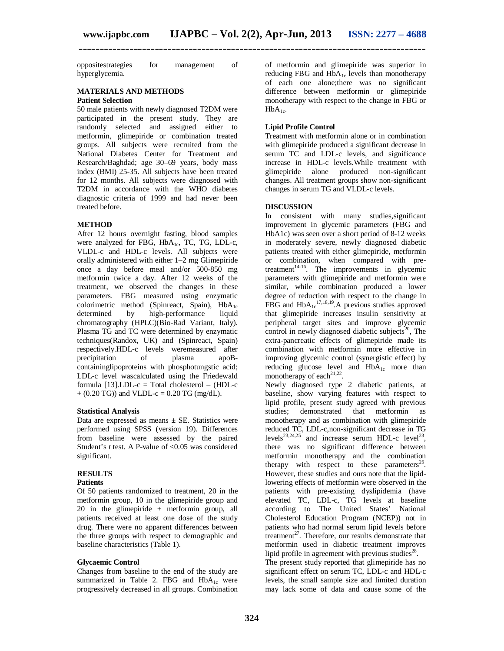oppositestrategies for management of hyperglycemia.

#### **MATERIALS AND METHODS Patient Selection**

50 male patients with newly diagnosed T2DM were participated in the present study. They are randomly selected and assigned either to metformin, glimepiride or combination treated groups. All subjects were recruited from the National Diabetes Center for Treatment and Research/Baghdad; age 30–69 years, body mass index (BMI) 25-35. All subjects have been treated for 12 months. All subjects were diagnosed with T2DM in accordance with the WHO diabetes diagnostic criteria of 1999 and had never been treated before.

## **METHOD**

After 12 hours overnight fasting, blood samples were analyzed for FBG,  $HbA_{1c}$ , TC, TG, LDL-c, VLDL-c and HDL-c levels. All subjects were orally administered with either 1–2 mg Glimepiride once a day before meal and/or 500-850 mg metformin twice a day. After 12 weeks of the treatment, we observed the changes in these parameters. FBG measured using enzymatic colorimetric method (Spinreact, Spain),  $HbA_{1c}$ <br>determined by high-performance liquid high-performance liquid chromatography (HPLC)(Bio-Rad Variant, Italy). Plasma TG and TC were determined by enzymatic techniques(Randox, UK) and (Spinreact, Spain) respectively.HDL-c levels weremeasured after precipitation of plasma apoBcontaininglipoproteins with phosphotungstic acid; LDL-c level wascalculated using the Friedewald formula  $[13]$ .LDL-c = Total cholesterol – (HDL-c  $+ (0.20 \text{ TG})$  and VLDL-c = 0.20 TG (mg/dL).

### **Statistical Analysis**

Data are expressed as means  $\pm$  SE. Statistics were performed using SPSS (version 19). Differences from baseline were assessed by the paired Student's *t* test. A P-value of <0.05 was considered significant.

## **RESULTS**

## **Patients**

Of 50 patients randomized to treatment, 20 in the metformin group, 10 in the glimepiride group and 20 in the glimepiride + metformin group, all patients received at least one dose of the study drug. There were no apparent differences between the three groups with respect to demographic and baseline characteristics (Table 1).

### **Glycaemic Control**

Changes from baseline to the end of the study are summarized in Table 2. FBG and  $HbA_{1c}$  were progressively decreased in all groups. Combination

of metformin and glimepiride was superior in reducing FBG and  $H\bar{b}A_{1c}$  levels than monotherapy of each one alone;there was no significant difference between metformin or glimepiride monotherapy with respect to the change in FBG or  $HbA_{1c}$ .

## **Lipid Profile Control**

Treatment with metformin alone or in combination with glimepiride produced a significant decrease in serum TC and LDL-c levels, and significance increase in HDL-c levels.While treatment with glimepiride alone produced non-significant changes. All treatment groups show non-significant changes in serum TG and VLDL-c levels.

## **DISCUSSION**

In consistent with many studies,significant improvement in glycemic parameters (FBG and HbA1c) was seen over a short period of 8-12 weeks in moderately severe, newly diagnosed diabetic patients treated with either glimepiride, metformin or combination, when compared with pretreatment $1^{4-16}$ . The improvements in glycemic parameters with glimepiride and metformin were similar, while combination produced a lower degree of reduction with respect to the change in FBG and  $HbA_{1c}$ <sup>17,18,19</sup>. A previous studies approved that glimepiride increases insulin sensitivity at peripheral target sites and improve glycemic control in newly diagnosed diabetic subjects<sup>20</sup>, The extra-pancreatic effects of glimepiride made its combination with metformin more effective in improving glycemic control (synergistic effect) by reducing glucose level and  $HbA_{1c}$  more than monotherapy of each<sup>21,22</sup>.

Newly diagnosed type 2 diabetic patients, at baseline, show varying features with respect to lipid profile, present study agreed with previous studies; demonstrated that metformin as monotherapy and as combination with glimepiride reduced TC, LDL-c,non-significant decrease in TG levels<sup>23,24,25</sup> and increase serum HDL-c level<sup>23</sup>, there was no significant difference between metformin monotherapy and the combination therapy with respect to these parameters<sup>26</sup>. However, these studies and ours note that the lipidlowering effects of metformin were observed in the patients with pre-existing dyslipidemia (have elevated TC, LDL-c, TG levels at baseline according to The United States' National Cholesterol Education Program (NCEP)) not in patients who had normal serum lipid levels before treatment $^{27}$ . Therefore, our results demonstrate that metformin used in diabetic treatment improves lipid profile in agreement with previous studies<sup>28</sup>.

The present study reported that glimepiride has no significant effect on serum TC, LDL-c and HDL-c levels, the small sample size and limited duration may lack some of data and cause some of the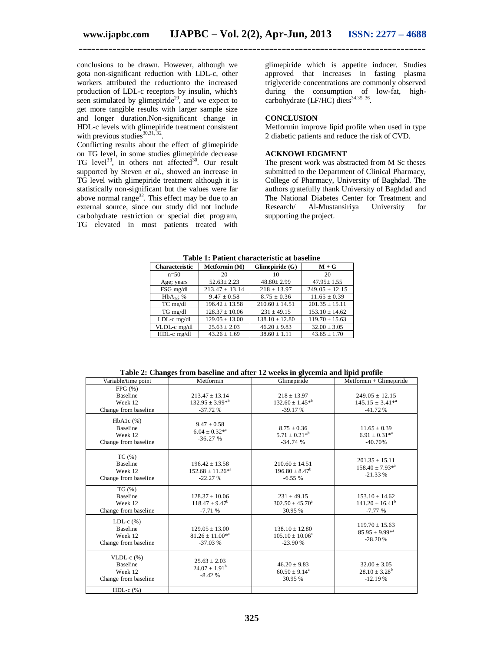conclusions to be drawn. However, although we gota non-significant reduction with LDL-c, other workers attributed the reductionto the increased production of LDL-c receptors by insulin, which's seen stimulated by glimepiride<sup>29</sup>, and we expect to get more tangible results with larger sample size and longer duration.Non-significant change in HDL-c levels with glimepiride treatment consistent with previous studies $^{30,31,\overline{32}}$ .

Conflicting results about the effect of glimepiride on TG level, in some studies glimepiride decrease TG level<sup>33</sup>, in others not affected<sup>30</sup>. Our result supported by Steven *et al*., showed an increase in TG level with glimepiride treatment although it is statistically non-significant but the values were far above normal range<sup>32</sup>. This effect may be due to an external source, since our study did not include carbohydrate restriction or special diet program, TG elevated in most patients treated with

glimepiride which is appetite inducer. Studies approved that increases in fasting plasma triglyceride concentrations are commonly observed during the consumption of low-fat, highcarbohydrate (LF/HC) diets<sup>34,35, 36</sup>.

## **CONCLUSION**

Metformin improve lipid profile when used in type 2 diabetic patients and reduce the risk of CVD.

## **ACKNOWLEDGMENT**

The present work was abstracted from M Sc theses submitted to the Department of Clinical Pharmacy, College of Pharmacy, University of Baghdad. The authors gratefully thank University of Baghdad and The National Diabetes Center for Treatment and<br>Research/ Al-Mustansiriya University for Research/ Al-Mustansiriya University for supporting the project.

| <b>Characteristic</b> | Metformin (M)      | Glimepiride (G)    | $M + G$            |
|-----------------------|--------------------|--------------------|--------------------|
| $n=50$                | 20                 | 10                 | 20                 |
| Age; years            | $52.63 \pm 2.23$   | $48.80 \pm 2.99$   | $47.95 \pm 1.55$   |
| FSG mg/dl             | $213.47 \pm 13.14$ | $218 + 13.97$      | $249.05 \pm 12.15$ |
| $HbA_{1c}$ ; %        | $9.47 \pm 0.58$    | $8.75 \pm 0.36$    | $11.65 \pm 0.39$   |
| TC mg/dl              | $196.42 \pm 13.58$ | $210.60 \pm 14.51$ | $201.35 \pm 15.11$ |
| TG mg/dl              | $128.37 \pm 10.06$ | $231 \pm 49.15$    | $153.10 \pm 14.62$ |
| LDL-c mg/dl           | $129.05 \pm 13.00$ | $138.10 \pm 12.80$ | $119.70 \pm 15.63$ |
| VLDL-c mg/dl          | $25.63 \pm 2.03$   | $46.20 \pm 9.83$   | $32.00 \pm 3.05$   |
| HDL-c mg/dl           | $43.26 \pm 1.69$   | $38.60 \pm 1.11$   | $43.65 \pm 1.70$   |

**Table 1: Patient characteristic at baseline**

**Table 2: Changes from baseline and after 12 weeks in glycemia and lipid profile**

| Variable/time point                                                    | Metformin                                                  | Glimepiride                                             | Metformin + Glimepiride                                   |
|------------------------------------------------------------------------|------------------------------------------------------------|---------------------------------------------------------|-----------------------------------------------------------|
| FPG(%)<br><b>Baseline</b><br>Week 12<br>Change from baseline           | $213.47 \pm 13.14$<br>$132.95 \pm 3.99^{*b}$<br>$-37.72%$  | $218 \pm 13.97$<br>$132.60 \pm 1.45^{*b}$<br>$-39.17%$  | $249.05 \pm 12.15$<br>$145.15 \pm 3.41^{*a}$<br>$-41.72%$ |
| $HbA1c$ (%)<br><b>Baseline</b><br>Week 12<br>Change from baseline      | $9.47 \pm 0.58$<br>$6.04 \pm 0.32^{*a}$<br>$-36.27%$       | $8.75 \pm 0.36$<br>$5.71 \pm 0.21^{*b}$<br>$-34.74%$    | $11.65 \pm 0.39$<br>$6.91 \pm 0.31^{*a}$<br>$-40.70%$     |
| TC(%)<br><b>Baseline</b><br>Week 12<br>Change from baseline            | $196.42 \pm 13.58$<br>$152.68 \pm 11.26^{*a}$<br>$-22.27%$ | $210.60 \pm 14.51$<br>$196.80 \pm 8.47^b$<br>$-6.55%$   | $201.35 \pm 15.11$<br>$158.40 \pm 7.93^{*a}$<br>$-21.33%$ |
| $TG(\% )$<br><b>Baseline</b><br>Week 12<br>Change from baseline        | $128.37 \pm 10.06$<br>$118.47 \pm 9.47^b$<br>$-7.71%$      | $231 \pm 49.15$<br>$302.50 \pm 45.70^a$<br>30.95 %      | $153.10 \pm 14.62$<br>$141.20 \pm 16.41^b$<br>$-7.77%$    |
| LDL-c $(\%)$<br><b>Baseline</b><br>Week 12<br>Change from baseline     | $129.05 \pm 13.00$<br>$81.26 \pm 11.00^{*a}$<br>$-37.03%$  | $138.10 \pm 12.80$<br>$105.10 + 10.06^a$<br>$-23.90%$   | $119.70 \pm 15.63$<br>$85.95 \pm 9.99^{*a}$<br>$-28.20%$  |
| VLDL- $c$ $(\%)$<br><b>Baseline</b><br>Week 12<br>Change from baseline | $25.63 \pm 2.03$<br>$24.07 \pm 1.91^b$<br>$-8.42%$         | $46.20 \pm 9.83$<br>$60.50 \pm 9.14^{\circ}$<br>30.95 % | $32.00 \pm 3.05$<br>$28.10 \pm 3.28^b$<br>$-12.19%$       |
| HDL- $c$ $%$ )                                                         |                                                            |                                                         |                                                           |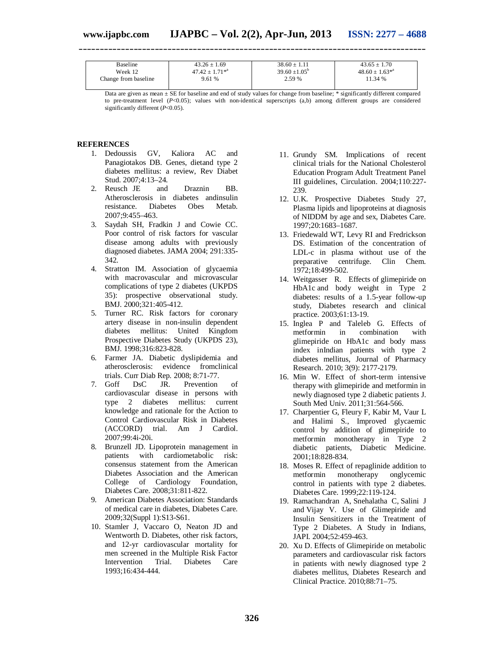| Baseline             | $43.26 \pm 1.69$    | $38.60 + 1.11$         | $43.65 + 1.70$      |
|----------------------|---------------------|------------------------|---------------------|
| Week 12              | $47.42 + 1.71^{*a}$ | $39.60 + 1.05^{\circ}$ | $48.60 + 1.63^{*4}$ |
| Change from baseline | 9.61 %              | 2.59 %                 | 11.34 %             |
|                      |                     |                        |                     |

**\_\_\_\_\_\_\_\_\_\_\_\_\_\_\_\_\_\_\_\_\_\_\_\_\_\_\_\_\_\_\_\_\_\_\_\_\_\_\_\_\_\_\_\_\_\_\_\_\_\_\_\_\_\_\_\_\_\_\_\_\_\_\_\_\_\_\_\_\_\_\_\_\_\_\_\_\_\_\_\_\_\_**

Data are given as mean  $\pm$  SE for baseline and end of study values for change from baseline;  $*$  significantly different compared to pre-treatment level (*P<*0.05); values with non-identical superscripts (a,b) among different groups are considered significantly different (*P*<0.05).

## **REFERENCES**

- 1. Dedoussis GV, Kaliora AC and Panagiotakos DB. Genes, dietand type 2 diabetes mellitus: a review, Rev Diabet Stud. 2007;4:13–24.
- 2. Reusch JE and Draznin BB. Atherosclerosis in diabetes andinsulin resistance. Diabetes Obes Metab. 2007;9:455–463.
- 3. Saydah SH, Fradkin J and Cowie CC. Poor control of risk factors for vascular disease among adults with previously diagnosed diabetes. JAMA 2004; 291:335- 342.
- 4. Stratton IM. Association of glycaemia with macrovascular and microvascular complications of type 2 diabetes (UKPDS 35): prospective observational study. BMJ. 2000;321:405-412.
- 5. Turner RC. Risk factors for coronary artery disease in non-insulin dependent diabetes mellitus: United Kingdom Prospective Diabetes Study (UKPDS 23), BMJ. 1998;316:823-828.
- 6. Farmer JA. Diabetic dyslipidemia and atherosclerosis: evidence fromclinical trials. Curr Diab Rep. 2008; 8:71-77.
- 7. Goff DsC JR. Prevention of cardiovascular disease in persons with type 2 diabetes mellitus: current knowledge and rationale for the Action to Control Cardiovascular Risk in Diabetes (ACCORD) trial. Am J Cardiol. 2007;99:4i-20i.
- 8. Brunzell JD. Lipoprotein management in patients with cardiometabolic risk: consensus statement from the American Diabetes Association and the American College of Cardiology Foundation, Diabetes Care. 2008;31:811-822.
- 9. American Diabetes Association: Standards of medical care in diabetes, Diabetes Care. 2009;32(Suppl 1):S13-S61.
- 10. Stamler J, Vaccaro O, Neaton JD and Wentworth D. Diabetes, other risk factors, and 12-yr cardiovascular mortality for men screened in the Multiple Risk Factor Intervention Trial. Diabetes Care 1993;16:434-444.
- 11. Grundy SM. Implications of recent clinical trials for the National Cholesterol Education Program Adult Treatment Panel III guidelines, Circulation. 2004;110:227- 239.
- 12. U.K. Prospective Diabetes Study 27, Plasma lipids and lipoproteins at diagnosis of NIDDM by age and sex, Diabetes Care. 1997;20:1683–1687.
- 13. Friedewald WT, Levy RI and Fredrickson DS. Estimation of the concentration of LDL-c in plasma without use of the preparative centrifuge. Clin Chem. 1972;18:499-502.
- 14. Weitgasser R. Effects of glimepiride on HbA1c and body weight in Type 2 diabetes: results of a 1.5-year follow-up study, Diabetes research and clinical practice. 2003;61:13-19.
- 15. Inglea P and Taleleb G. Effects of metformin in combination with glimepiride on HbA1c and body mass index inIndian patients with type 2 diabetes mellitus, Journal of Pharmacy Research. 2010; 3(9): 2177-2179.
- 16. Min W. Effect of short-term intensive therapy with glimepiride and metformin in newly diagnosed type 2 diabetic patients J. South Med Univ. 2011;31:564-566.
- 17. Charpentier G, Fleury F, Kabir M, Vaur L and Halimi S., Improved glycaemic control by addition of glimepiride to metformin monotherapy in Type 2 diabetic patients, Diabetic Medicine. 2001;18:828-834.
- 18. Moses R. Effect of repaglinide addition to metformin monotherapy onglycemic control in patients with type 2 diabetes. Diabetes Care. 1999;22:119-124.
- 19. Ramachandran A, Snehalatha C, Salini J and Vijay V. Use of Glimepiride and Insulin Sensitizers in the Treatment of Type 2 Diabetes. A Study in Indians, JAPI. 2004;52:459-463.
- 20. Xu D. Effects of Glimepiride on metabolic parameters and cardiovascular risk factors in patients with newly diagnosed type 2 diabetes mellitus, Diabetes Research and Clinical Practice. 2010;88:71–75.